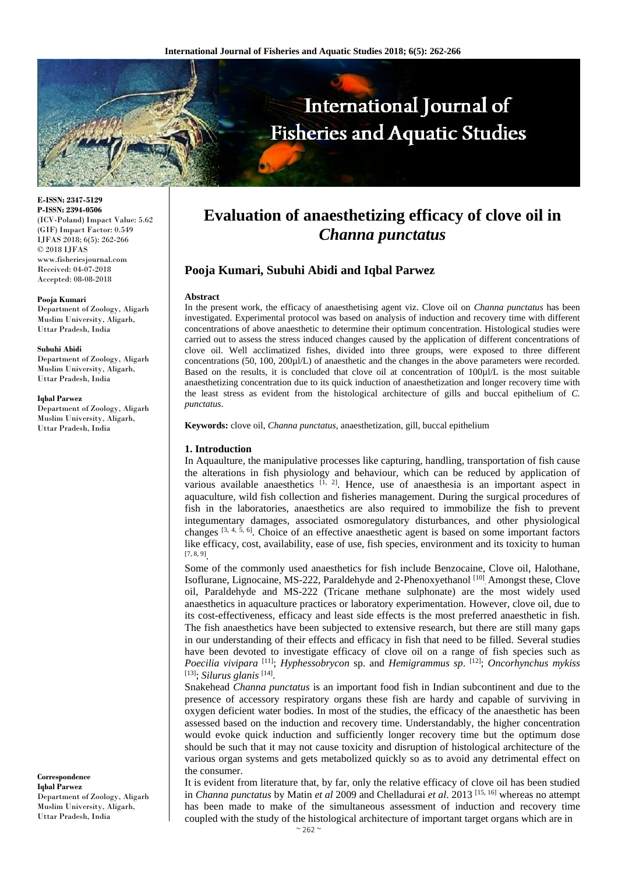

**E-ISSN: 2347-5129 P-ISSN: 2394-0506** (ICV-Poland) Impact Value: 5.62 (GIF) Impact Factor: 0.549 IJFAS 2018; 6(5): 262-266 © 2018 IJFAS www.fisheriesjournal.com Received: 04-07-2018 Accepted: 08-08-2018

#### **Pooja Kumari**

Department of Zoology, Aligarh Muslim University, Aligarh, Uttar Pradesh, India

#### **Subuhi Abidi**

Department of Zoology, Aligarh Muslim University, Aligarh, Uttar Pradesh, India

#### **Iqbal Parwez**

Department of Zoology, Aligarh Muslim University, Aligarh, Uttar Pradesh, India

**Correspondence Iqbal Parwez** Department of Zoology, Aligarh Muslim University, Aligarh, Uttar Pradesh, India

# **Evaluation of anaesthetizing efficacy of clove oil in** *Channa punctatus*

# **Pooja Kumari, Subuhi Abidi and Iqbal Parwez**

#### **Abstract**

In the present work, the efficacy of anaesthetising agent viz. Clove oil on *Channa punctatus* has been investigated. Experimental protocol was based on analysis of induction and recovery time with different concentrations of above anaesthetic to determine their optimum concentration. Histological studies were carried out to assess the stress induced changes caused by the application of different concentrations of clove oil. Well acclimatized fishes, divided into three groups, were exposed to three different concentrations (50, 100, 200µl/L) of anaesthetic and the changes in the above parameters were recorded. Based on the results, it is concluded that clove oil at concentration of 100µl/L is the most suitable anaesthetizing concentration due to its quick induction of anaesthetization and longer recovery time with the least stress as evident from the histological architecture of gills and buccal epithelium of *C. punctatus*.

**Keywords:** clove oil, *Channa punctatus*, anaesthetization, gill, buccal epithelium

## **1. Introduction**

In Aquaulture, the manipulative processes like capturing, handling, transportation of fish cause the alterations in fish physiology and behaviour, which can be reduced by application of various available anaesthetics  $[1, 2]$ . Hence, use of anaesthesia is an important aspect in aquaculture, wild fish collection and fisheries management. During the surgical procedures of fish in the laboratories, anaesthetics are also required to immobilize the fish to prevent integumentary damages, associated osmoregulatory disturbances, and other physiological changes  $[3, 4, 5, 6]$ . Choice of an effective anaesthetic agent is based on some important factors like efficacy, cost, availability, ease of use, fish species, environment and its toxicity to human  $[7, 8, 9]$ <sub>.</sub>

Some of the commonly used anaesthetics for fish include Benzocaine, Clove oil, Halothane, Isoflurane, Lignocaine, MS-222, Paraldehyde and 2-Phenoxyethanol<sup>[10]</sup> Amongst these, Clove oil, Paraldehyde and MS-222 (Tricane methane sulphonate) are the most widely used anaesthetics in aquaculture practices or laboratory experimentation. However, clove oil, due to its cost-effectiveness, efficacy and least side effects is the most preferred anaesthetic in fish. The fish anaesthetics have been subjected to extensive research, but there are still many gaps in our understanding of their effects and efficacy in fish that need to be filled. Several studies have been devoted to investigate efficacy of clove oil on a range of fish species such as *Poecilia vivipara* [11]; *Hyphessobrycon* sp. and *Hemigrammus sp*. [12]; *Oncorhynchus mykiss*  [13]; *Silurus glanis* [14] .

Snakehead *Channa punctatus* is an important food fish in Indian subcontinent and due to the presence of accessory respiratory organs these fish are hardy and capable of surviving in oxygen deficient water bodies. In most of the studies, the efficacy of the anaesthetic has been assessed based on the induction and recovery time. Understandably, the higher concentration would evoke quick induction and sufficiently longer recovery time but the optimum dose should be such that it may not cause toxicity and disruption of histological architecture of the various organ systems and gets metabolized quickly so as to avoid any detrimental effect on the consumer.

It is evident from literature that, by far, only the relative efficacy of clove oil has been studied in *Channa punctatus* by Matin *et al* 2009 and Chelladurai *et al*. 2013 [15, 16] whereas no attempt has been made to make of the simultaneous assessment of induction and recovery time coupled with the study of the histological architecture of important target organs which are in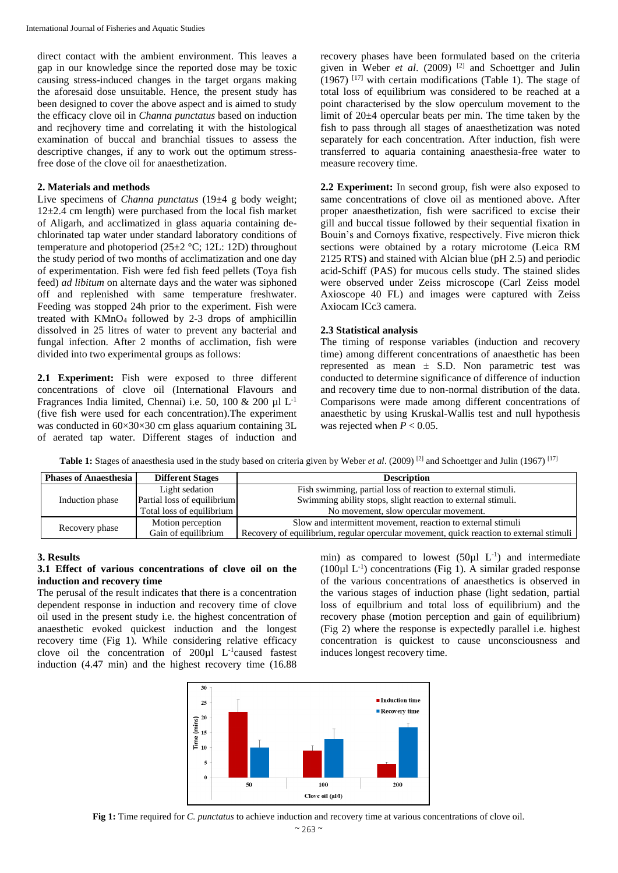direct contact with the ambient environment. This leaves a gap in our knowledge since the reported dose may be toxic causing stress-induced changes in the target organs making the aforesaid dose unsuitable. Hence, the present study has been designed to cover the above aspect and is aimed to study the efficacy clove oil in *Channa punctatus* based on induction and recjhovery time and correlating it with the histological examination of buccal and branchial tissues to assess the descriptive changes, if any to work out the optimum stressfree dose of the clove oil for anaesthetization.

## **2. Materials and methods**

Live specimens of *Channa punctatus* (19±4 g body weight;  $12\pm2.4$  cm length) were purchased from the local fish market of Aligarh, and acclimatized in glass aquaria containing dechlorinated tap water under standard laboratory conditions of temperature and photoperiod  $(25\pm2~\degree C; 12L; 12D)$  throughout the study period of two months of acclimatization and one day of experimentation. Fish were fed fish feed pellets (Toya fish feed) *ad libitum* on alternate days and the water was siphoned off and replenished with same temperature freshwater. Feeding was stopped 24h prior to the experiment. Fish were treated with  $KMnO<sub>4</sub>$  followed by 2-3 drops of amphicillin dissolved in 25 litres of water to prevent any bacterial and fungal infection. After 2 months of acclimation, fish were divided into two experimental groups as follows:

**2.1 Experiment:** Fish were exposed to three different concentrations of clove oil (International Flavours and Fragrances India limited, Chennai) i.e. 50, 100 & 200  $\mu$ l L<sup>-1</sup> (five fish were used for each concentration).The experiment was conducted in  $60\times30\times30$  cm glass aquarium containing 3L of aerated tap water. Different stages of induction and recovery phases have been formulated based on the criteria given in Weber *et al*. (2009) [2] and Schoettger and Julin  $(1967)$  <sup>[17]</sup> with certain modifications (Table 1). The stage of total loss of equilibrium was considered to be reached at a point characterised by the slow operculum movement to the limit of 20±4 opercular beats per min. The time taken by the fish to pass through all stages of anaesthetization was noted separately for each concentration. After induction, fish were transferred to aquaria containing anaesthesia-free water to measure recovery time.

**2.2 Experiment:** In second group, fish were also exposed to same concentrations of clove oil as mentioned above. After proper anaesthetization, fish were sacrificed to excise their gill and buccal tissue followed by their sequential fixation in Bouin's and Cornoys fixative, respectively. Five micron thick sections were obtained by a rotary microtome (Leica RM 2125 RTS) and stained with Alcian blue (pH 2.5) and periodic acid-Schiff (PAS) for mucous cells study. The stained slides were observed under Zeiss microscope (Carl Zeiss model Axioscope 40 FL) and images were captured with Zeiss Axiocam ICc3 camera.

#### **2.3 Statistical analysis**

The timing of response variables (induction and recovery time) among different concentrations of anaesthetic has been represented as mean  $\pm$  S.D. Non parametric test was conducted to determine significance of difference of induction and recovery time due to non-normal distribution of the data. Comparisons were made among different concentrations of anaesthetic by using Kruskal-Wallis test and null hypothesis was rejected when  $P < 0.05$ .

**Table 1:** Stages of anaesthesia used in the study based on criteria given by Weber *et al*. (2009) [2] and Schoettger and Julin (1967) [17]

| <b>Phases of Anaesthesia</b> | <b>Different Stages</b>     | <b>Description</b>                                                                      |
|------------------------------|-----------------------------|-----------------------------------------------------------------------------------------|
| Induction phase              | Light sedation              | Fish swimming, partial loss of reaction to external stimuli.                            |
|                              | Partial loss of equilibrium | Swimming ability stops, slight reaction to external stimuli.                            |
|                              | Total loss of equilibrium   | No movement, slow opercular movement.                                                   |
| Recovery phase               | Motion perception           | Slow and intermittent movement, reaction to external stimuli                            |
|                              | Gain of equilibrium         | Recovery of equilibrium, regular opercular movement, quick reaction to external stimuli |

#### **3. Results**

## **3.1 Effect of various concentrations of clove oil on the induction and recovery time**

The perusal of the result indicates that there is a concentration dependent response in induction and recovery time of clove oil used in the present study i.e. the highest concentration of anaesthetic evoked quickest induction and the longest recovery time (Fig 1). While considering relative efficacy clove oil the concentration of  $200 \mu l$  L<sup>-1</sup>caused fastest induction (4.47 min) and the highest recovery time (16.88

min) as compared to lowest  $(50\mu l L^{-1})$  and intermediate (100µl L-1 ) concentrations (Fig 1). A similar graded response of the various concentrations of anaesthetics is observed in the various stages of induction phase (light sedation, partial loss of equilbrium and total loss of equilibrium) and the recovery phase (motion perception and gain of equilibrium) (Fig 2) where the response is expectedly parallel i.e. highest concentration is quickest to cause unconsciousness and induces longest recovery time.



**Fig 1:** Time required for *C. punctatus* to achieve induction and recovery time at various concentrations of clove oil.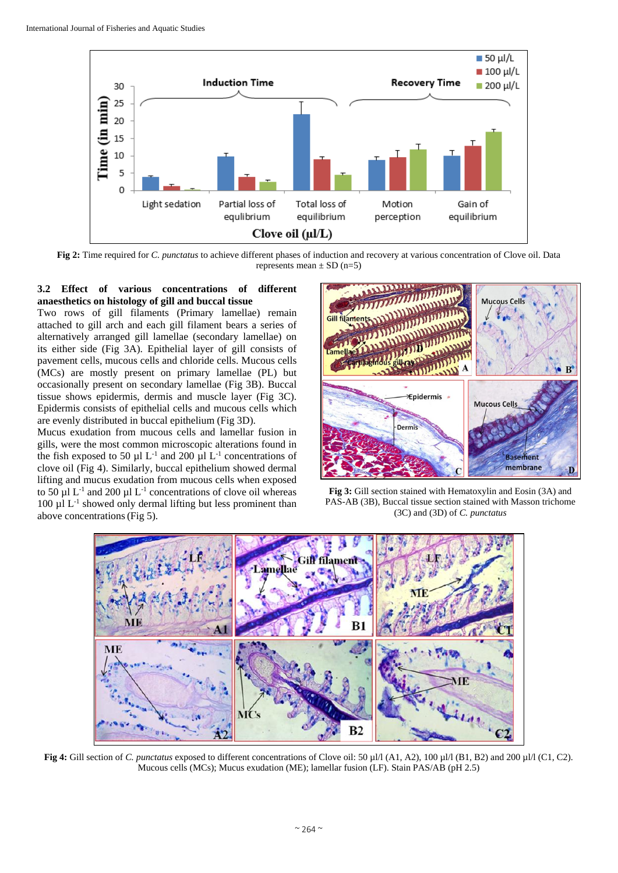

**Fig 2:** Time required for *C. punctatus* to achieve different phases of induction and recovery at various concentration of Clove oil. Data represents mean  $\pm$  SD (n=5)

## **3.2 Effect of various concentrations of different anaesthetics on histology of gill and buccal tissue**

Two rows of gill filaments (Primary lamellae) remain attached to gill arch and each gill filament bears a series of alternatively arranged gill lamellae (secondary lamellae) on its either side (Fig 3A). Epithelial layer of gill consists of pavement cells, mucous cells and chloride cells. Mucous cells (MCs) are mostly present on primary lamellae (PL) but occasionally present on secondary lamellae (Fig 3B). Buccal tissue shows epidermis, dermis and muscle layer (Fig 3C). Epidermis consists of epithelial cells and mucous cells which are evenly distributed in buccal epithelium (Fig 3D).

Mucus exudation from mucous cells and lamellar fusion in gills, were the most common microscopic alterations found in the fish exposed to 50  $\mu$ l L<sup>-1</sup> and 200  $\mu$ l L<sup>-1</sup> concentrations of clove oil (Fig 4). Similarly, buccal epithelium showed dermal lifting and mucus exudation from mucous cells when exposed to 50  $\mu$ l L<sup>-1</sup> and 200  $\mu$ l L<sup>-1</sup> concentrations of clove oil whereas 100 µl L<sup>-1</sup> showed only dermal lifting but less prominent than above concentrations(Fig 5).



**Fig 3:** Gill section stained with Hematoxylin and Eosin (3A) and PAS-AB (3B), Buccal tissue section stained with Masson trichome (3C) and (3D) of *C. punctatus*



**Fig 4:** Gill section of *C. punctatus* exposed to different concentrations of Clove oil: 50 µl/l (A1, A2), 100 µl/l (B1, B2) and 200 µl/l (C1, C2). Mucous cells (MCs); Mucus exudation (ME); lamellar fusion (LF). Stain PAS/AB (pH 2.5)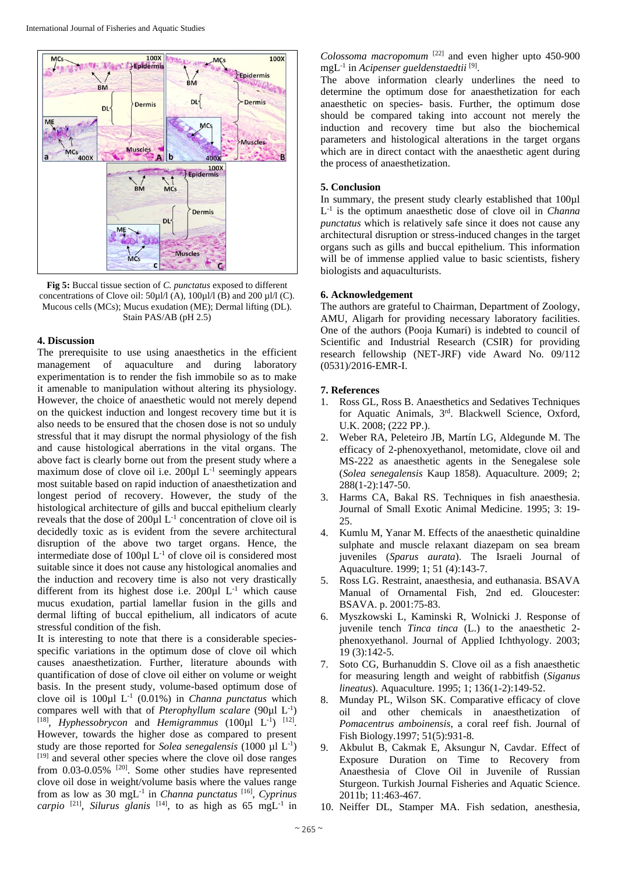

**Fig 5:** Buccal tissue section of *C. punctatus* exposed to different concentrations of Clove oil:  $50\mu$ l/l (A),  $100\mu$ l/l (B) and  $200\mu$ l/l (C). Mucous cells (MCs); Mucus exudation (ME); Dermal lifting (DL). Stain PAS/AB (pH 2.5)

#### **4. Discussion**

The prerequisite to use using anaesthetics in the efficient management of aquaculture and during laboratory experimentation is to render the fish immobile so as to make it amenable to manipulation without altering its physiology. However, the choice of anaesthetic would not merely depend on the quickest induction and longest recovery time but it is also needs to be ensured that the chosen dose is not so unduly stressful that it may disrupt the normal physiology of the fish and cause histological aberrations in the vital organs. The above fact is clearly borne out from the present study where a maximum dose of clove oil i.e.  $200\mu$ I L<sup>-1</sup> seemingly appears most suitable based on rapid induction of anaesthetization and longest period of recovery. However, the study of the histological architecture of gills and buccal epithelium clearly reveals that the dose of  $200 \mu$ l L<sup>-1</sup> concentration of clove oil is decidedly toxic as is evident from the severe architectural disruption of the above two target organs. Hence, the intermediate dose of  $100 \mu$ l L<sup>-1</sup> of clove oil is considered most suitable since it does not cause any histological anomalies and the induction and recovery time is also not very drastically different from its highest dose i.e.  $200 \mu$ l L<sup>-1</sup> which cause mucus exudation, partial lamellar fusion in the gills and dermal lifting of buccal epithelium, all indicators of acute stressful condition of the fish.

It is interesting to note that there is a considerable speciesspecific variations in the optimum dose of clove oil which causes anaesthetization. Further, literature abounds with quantification of dose of clove oil either on volume or weight basis. In the present study, volume-based optimum dose of clove oil is 100µl L-1 (0.01%) in *Channa punctatus* which compares well with that of *Pterophyllum scalare* (90 $\mu$ l L<sup>-1</sup>) <sup>[18]</sup>, *Hyphessobrycon* and *Hemigrammus* (100 $\mu$ l L<sup>-1</sup>)<sup>[12]</sup>. However, towards the higher dose as compared to present study are those reported for *Solea senegalensis* (1000  $\mu$ l L<sup>-1</sup>) [19] and several other species where the clove oil dose ranges from 0.03-0.05% [20]. Some other studies have represented clove oil dose in weight/volume basis where the values range from as low as 30 mgL-1 in *Channa punctatus* [16] , *Cyprinus carpio* <sup>[21]</sup>, *Silurus glanis* <sup>[14]</sup>, to as high as 65 mgL<sup>-1</sup> in *Colossoma macropomum* [22] and even higher upto 450-900 mgL<sup>-1</sup> in *Acipenser gueldenstaedtii*<sup>[9]</sup>.

The above information clearly underlines the need to determine the optimum dose for anaesthetization for each anaesthetic on species- basis. Further, the optimum dose should be compared taking into account not merely the induction and recovery time but also the biochemical parameters and histological alterations in the target organs which are in direct contact with the anaesthetic agent during the process of anaesthetization.

## **5. Conclusion**

In summary, the present study clearly established that 100µl L -1 is the optimum anaesthetic dose of clove oil in *Channa punctatus* which is relatively safe since it does not cause any architectural disruption or stress-induced changes in the target organs such as gills and buccal epithelium. This information will be of immense applied value to basic scientists, fishery biologists and aquaculturists.

#### **6. Acknowledgement**

The authors are grateful to Chairman, Department of Zoology, AMU, Aligarh for providing necessary laboratory facilities. One of the authors (Pooja Kumari) is indebted to council of Scientific and Industrial Research (CSIR) for providing research fellowship (NET-JRF) vide Award No. 09/112 (0531)/2016-EMR-I.

## **7. References**

- 1. Ross GL, Ross B. Anaesthetics and Sedatives Techniques for Aquatic Animals, 3rd . Blackwell Science, Oxford, U.K. 2008; (222 PP.).
- 2. Weber RA, Peleteiro JB, Martín LG, Aldegunde M. The efficacy of 2-phenoxyethanol, metomidate, clove oil and MS-222 as anaesthetic agents in the Senegalese sole (*Solea senegalensis* Kaup 1858). Aquaculture. 2009; 2; 288(1-2):147-50.
- 3. Harms CA, Bakal RS. Techniques in fish anaesthesia. Journal of Small Exotic Animal Medicine. 1995; 3: 19-  $25.$
- 4. Kumlu M, Yanar M. Effects of the anaesthetic quinaldine sulphate and muscle relaxant diazepam on sea bream juveniles (*Sparus aurata*). The Israeli Journal of Aquaculture. 1999; 1; 51 (4):143-7.
- 5. Ross LG. Restraint, anaesthesia, and euthanasia. BSAVA Manual of Ornamental Fish, 2nd ed. Gloucester: BSAVA. p. 2001:75-83.
- 6. Myszkowski L, Kaminski R, Wolnicki J. Response of juvenile tench *Tinca tinca* (L.) to the anaesthetic 2 phenoxyethanol. Journal of Applied Ichthyology. 2003; 19 (3):142-5.
- 7. Soto CG, Burhanuddin S. Clove oil as a fish anaesthetic for measuring length and weight of rabbitfish (*Siganus lineatus*). Aquaculture. 1995; 1; 136(1-2):149-52.
- 8. Munday PL, Wilson SK. Comparative efficacy of clove oil and other chemicals in anaesthetization of *Pomacentrus amboinensis*, a coral reef fish. Journal of Fish Biology.1997; 51(5):931-8.
- 9. Akbulut B, Cakmak E, Aksungur N, Cavdar. Effect of Exposure Duration on Time to Recovery from Anaesthesia of Clove Oil in Juvenile of Russian Sturgeon. Turkish Journal Fisheries and Aquatic Science. 2011b; 11:463-467.
- 10. Neiffer DL, Stamper MA. Fish sedation, anesthesia,